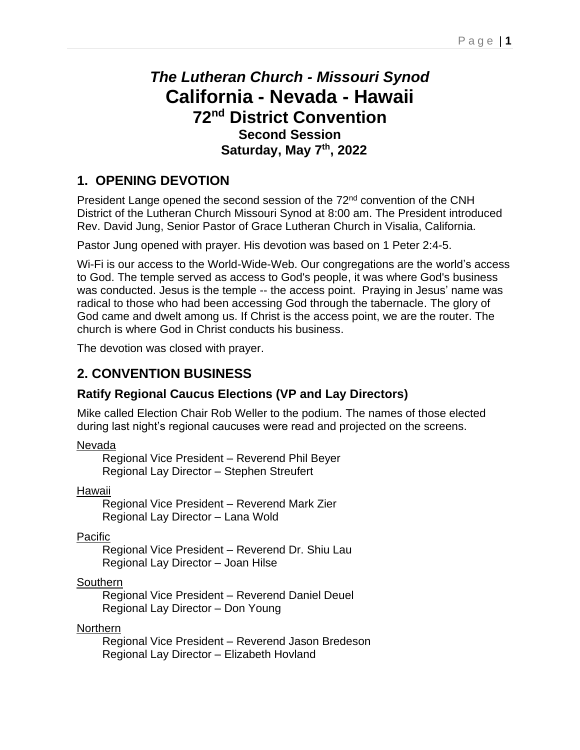# *The Lutheran Church - Missouri Synod* **California - Nevada - Hawaii 72 nd District Convention Second Session Saturday, May 7 th, 2022**

## **1. OPENING DEVOTION**

President Lange opened the second session of the 72<sup>nd</sup> convention of the CNH District of the Lutheran Church Missouri Synod at 8:00 am. The President introduced Rev. David Jung, Senior Pastor of Grace Lutheran Church in Visalia, California.

Pastor Jung opened with prayer. His devotion was based on 1 Peter 2:4-5.

Wi-Fi is our access to the World-Wide-Web. Our congregations are the world's access to God. The temple served as access to God's people, it was where God's business was conducted. Jesus is the temple -- the access point. Praying in Jesus' name was radical to those who had been accessing God through the tabernacle. The glory of God came and dwelt among us. If Christ is the access point, we are the router. The church is where God in Christ conducts his business.

The devotion was closed with prayer.

## **2. CONVENTION BUSINESS**

### **Ratify Regional Caucus Elections (VP and Lay Directors)**

Mike called Election Chair Rob Weller to the podium. The names of those elected during last night's regional caucuses were read and projected on the screens.

Nevada

Regional Vice President – Reverend Phil Beyer Regional Lay Director – Stephen Streufert

Hawaii

Regional Vice President – Reverend Mark Zier Regional Lay Director – Lana Wold

**Pacific** 

Regional Vice President – Reverend Dr. Shiu Lau Regional Lay Director – Joan Hilse

**Southern** 

Regional Vice President – Reverend Daniel Deuel Regional Lay Director – Don Young

Northern

Regional Vice President – Reverend Jason Bredeson Regional Lay Director – Elizabeth Hovland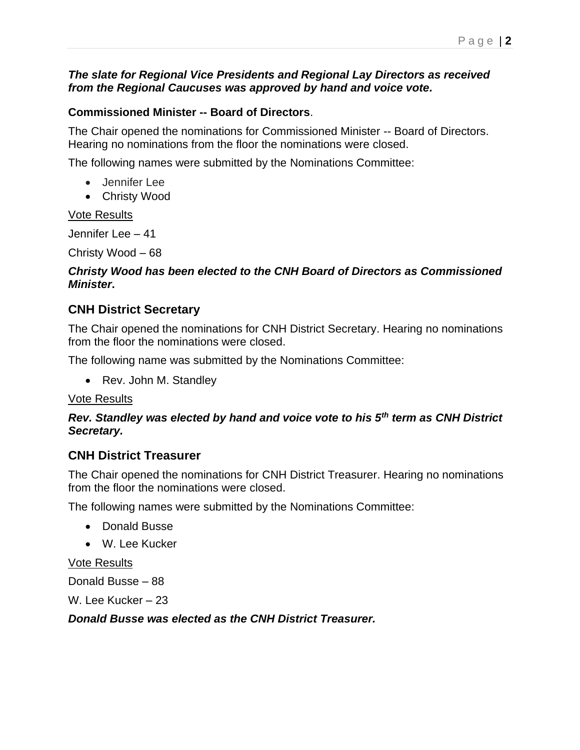#### *The slate for Regional Vice Presidents and Regional Lay Directors as received from the Regional Caucuses was approved by hand and voice vote.*

#### **Commissioned Minister -- Board of Directors**.

The Chair opened the nominations for Commissioned Minister -- Board of Directors. Hearing no nominations from the floor the nominations were closed.

The following names were submitted by the Nominations Committee:

- Jennifer Lee
- Christy Wood

#### Vote Results

Jennifer Lee – 41

Christy Wood – 68

#### *Christy Wood has been elected to the CNH Board of Directors as Commissioned Minister***.**

#### **CNH District Secretary**

The Chair opened the nominations for CNH District Secretary. Hearing no nominations from the floor the nominations were closed.

The following name was submitted by the Nominations Committee:

• Rev. John M. Standley

#### Vote Results

#### *Rev. Standley was elected by hand and voice vote to his 5th term as CNH District Secretary.*

#### **CNH District Treasurer**

The Chair opened the nominations for CNH District Treasurer. Hearing no nominations from the floor the nominations were closed.

The following names were submitted by the Nominations Committee:

- Donald Busse
- W. Lee Kucker

#### Vote Results

Donald Busse – 88

W. Lee Kucker – 23

*Donald Busse was elected as the CNH District Treasurer.*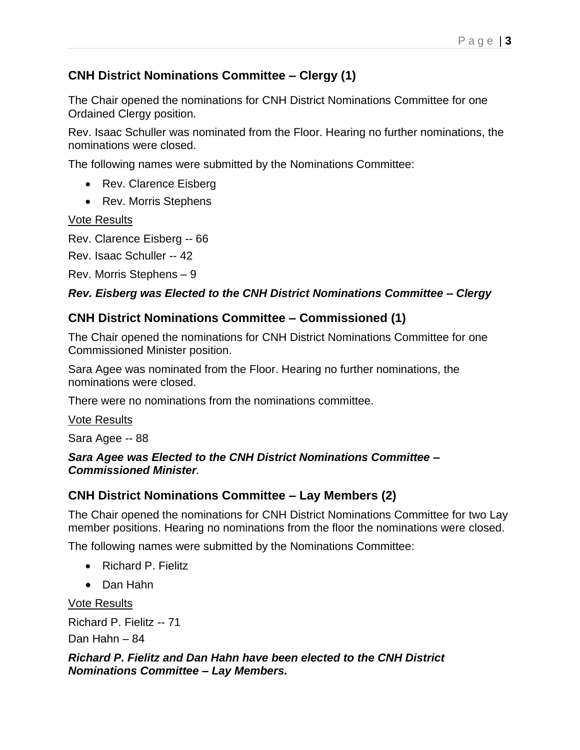### **CNH District Nominations Committee – Clergy (1)**

The Chair opened the nominations for CNH District Nominations Committee for one Ordained Clergy position.

Rev. Isaac Schuller was nominated from the Floor. Hearing no further nominations, the nominations were closed.

The following names were submitted by the Nominations Committee:

- Rev. Clarence Eisberg
- Rev. Morris Stephens

Vote Results

Rev. Clarence Eisberg -- 66

Rev. Isaac Schuller -- 42

Rev. Morris Stephens – 9

### *Rev. Eisberg was Elected to the CNH District Nominations Committee – Clergy*

### **CNH District Nominations Committee – Commissioned (1)**

The Chair opened the nominations for CNH District Nominations Committee for one Commissioned Minister position.

Sara Agee was nominated from the Floor. Hearing no further nominations, the nominations were closed.

There were no nominations from the nominations committee.

#### Vote Results

Sara Agee -- 88

#### *Sara Agee was Elected to the CNH District Nominations Committee – Commissioned Minister.*

### **CNH District Nominations Committee – Lay Members (2)**

The Chair opened the nominations for CNH District Nominations Committee for two Lay member positions. Hearing no nominations from the floor the nominations were closed.

The following names were submitted by the Nominations Committee:

- Richard P. Fielitz
- Dan Hahn

Vote Results

Richard P. Fielitz -- 71

Dan Hahn – 84

#### *Richard P. Fielitz and Dan Hahn have been elected to the CNH District Nominations Committee – Lay Members.*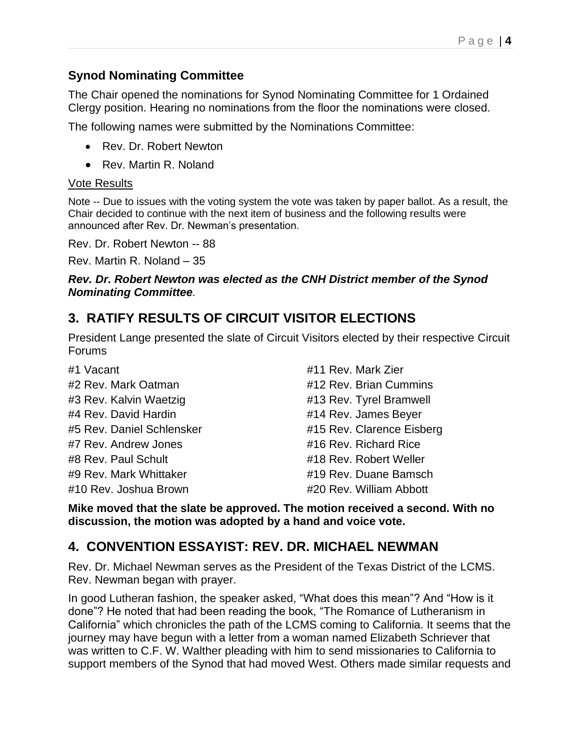#### **Synod Nominating Committee**

The Chair opened the nominations for Synod Nominating Committee for 1 Ordained Clergy position. Hearing no nominations from the floor the nominations were closed.

The following names were submitted by the Nominations Committee:

- Rev. Dr. Robert Newton
- Rev. Martin R. Noland

#### Vote Results

Note -- Due to issues with the voting system the vote was taken by paper ballot. As a result, the Chair decided to continue with the next item of business and the following results were announced after Rev. Dr. Newman's presentation.

Rev. Dr. Robert Newton -- 88

Rev. Martin R. Noland – 35

#### *Rev. Dr. Robert Newton was elected as the CNH District member of the Synod Nominating Committee.*

### **3. RATIFY RESULTS OF CIRCUIT VISITOR ELECTIONS**

President Lange presented the slate of Circuit Visitors elected by their respective Circuit Forums

#1 Vacant #2 Rev. Mark Oatman #3 Rev. Kalvin Waetzig #4 Rev. David Hardin #5 Rev. Daniel Schlensker #7 Rev. Andrew Jones #8 Rev. Paul Schult #9 Rev. Mark Whittaker #10 Rev. Joshua Brown

#11 Rev. Mark Zier #12 Rev. Brian Cummins #13 Rev. Tyrel Bramwell #14 Rev. James Beyer #15 Rev. Clarence Eisberg #16 Rev. Richard Rice #18 Rev. Robert Weller #19 Rev. Duane Bamsch #20 Rev. William Abbott

**Mike moved that the slate be approved. The motion received a second. With no discussion, the motion was adopted by a hand and voice vote.** 

### **4. CONVENTION ESSAYIST: REV. DR. MICHAEL NEWMAN**

Rev. Dr. Michael Newman serves as the President of the Texas District of the LCMS. Rev. Newman began with prayer.

In good Lutheran fashion, the speaker asked, "What does this mean"? And "How is it done"? He noted that had been reading the book, "The Romance of Lutheranism in California" which chronicles the path of the LCMS coming to California. It seems that the journey may have begun with a letter from a woman named Elizabeth Schriever that was written to C.F. W. Walther pleading with him to send missionaries to California to support members of the Synod that had moved West. Others made similar requests and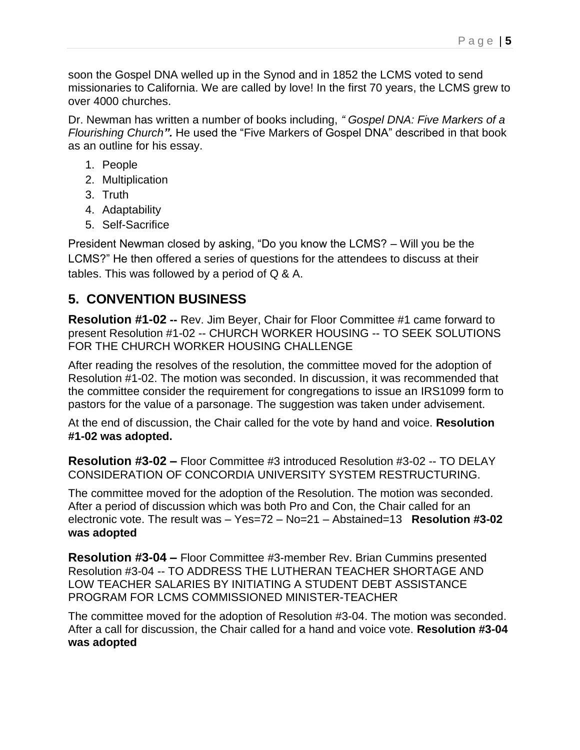soon the Gospel DNA welled up in the Synod and in 1852 the LCMS voted to send missionaries to California. We are called by love! In the first 70 years, the LCMS grew to over 4000 churches.

Dr. Newman has written a number of books including, *" [Gospel DNA: Five Markers of a](https://www.amazon.com/Gospel-DNA-Markers-Flourishing-Church/dp/1532946414/ref=sr_1_4?crid=26IJMI93ONOZV&keywords=michael+newman&qid=1652395390&s=books&sprefix=Michael+New%2Cstripbooks%2C140&sr=1-4)  [Flourishing Church](https://www.amazon.com/Gospel-DNA-Markers-Flourishing-Church/dp/1532946414/ref=sr_1_4?crid=26IJMI93ONOZV&keywords=michael+newman&qid=1652395390&s=books&sprefix=Michael+New%2Cstripbooks%2C140&sr=1-4)".* He used the "Five Markers of Gospel DNA" described in that book as an outline for his essay.

- 1. People
- 2. Multiplication
- 3. Truth
- 4. Adaptability
- 5. Self-Sacrifice

President Newman closed by asking, "Do you know the LCMS? – Will you be the LCMS?" He then offered a series of questions for the attendees to discuss at their tables. This was followed by a period of Q & A.

## **5. CONVENTION BUSINESS**

**Resolution #1-02 --** Rev. Jim Beyer, Chair for Floor Committee #1 came forward to present Resolution #1-02 -- CHURCH WORKER HOUSING -- TO SEEK SOLUTIONS FOR THE CHURCH WORKER HOUSING CHALLENGE

After reading the resolves of the resolution, the committee moved for the adoption of Resolution #1-02. The motion was seconded. In discussion, it was recommended that the committee consider the requirement for congregations to issue an IRS1099 form to pastors for the value of a parsonage. The suggestion was taken under advisement.

At the end of discussion, the Chair called for the vote by hand and voice. **Resolution #1-02 was adopted.** 

**Resolution #3-02 –** Floor Committee #3 introduced Resolution #3-02 -- TO DELAY CONSIDERATION OF CONCORDIA UNIVERSITY SYSTEM RESTRUCTURING.

The committee moved for the adoption of the Resolution. The motion was seconded. After a period of discussion which was both Pro and Con, the Chair called for an electronic vote. The result was – Yes=72 – No=21 – Abstained=13 **Resolution #3-02 was adopted**

**Resolution #3-04 –** Floor Committee #3-member Rev. Brian Cummins presented Resolution #3-04 -- TO ADDRESS THE LUTHERAN TEACHER SHORTAGE AND LOW TEACHER SALARIES BY INITIATING A STUDENT DEBT ASSISTANCE PROGRAM FOR LCMS COMMISSIONED MINISTER-TEACHER

The committee moved for the adoption of Resolution #3-04. The motion was seconded. After a call for discussion, the Chair called for a hand and voice vote. **Resolution #3-04 was adopted**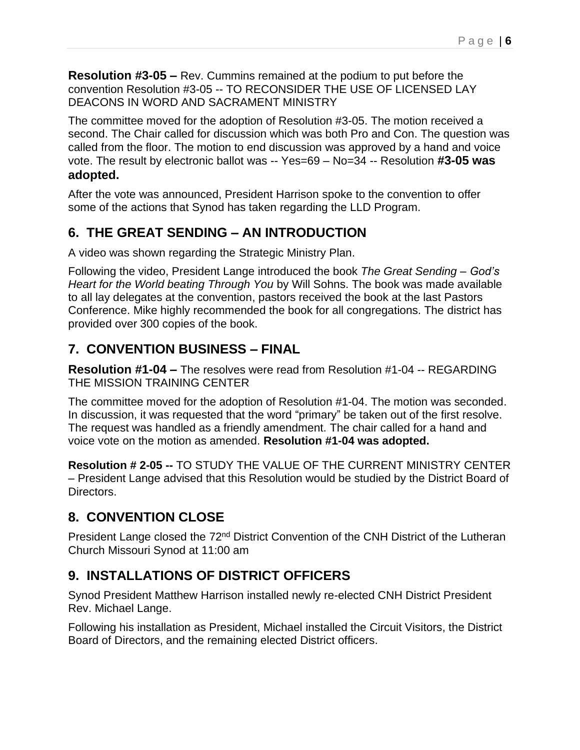**Resolution #3-05 –** Rev. Cummins remained at the podium to put before the convention Resolution #3-05 -- TO RECONSIDER THE USE OF LICENSED LAY DEACONS IN WORD AND SACRAMENT MINISTRY

The committee moved for the adoption of Resolution #3-05. The motion received a second. The Chair called for discussion which was both Pro and Con. The question was called from the floor. The motion to end discussion was approved by a hand and voice vote. The result by electronic ballot was -- Yes=69 – No=34 -- Resolution **#3-05 was adopted.**

After the vote was announced, President Harrison spoke to the convention to offer some of the actions that Synod has taken regarding the LLD Program.

## **6. THE GREAT SENDING – AN INTRODUCTION**

A video was shown regarding the Strategic Ministry Plan.

Following the video, President Lange introduced the book *The Great Sending – God's Heart for the World beating Through You* by Will Sohns. The book was made available to all lay delegates at the convention, pastors received the book at the last Pastors Conference. Mike highly recommended the book for all congregations. The district has provided over 300 copies of the book.

### **7. CONVENTION BUSINESS – FINAL**

**Resolution #1-04 –** The resolves were read from Resolution #1-04 -- REGARDING THE MISSION TRAINING CENTER

The committee moved for the adoption of Resolution #1-04. The motion was seconded. In discussion, it was requested that the word "primary" be taken out of the first resolve. The request was handled as a friendly amendment. The chair called for a hand and voice vote on the motion as amended. **Resolution #1-04 was adopted.** 

**Resolution # 2-05 --** TO STUDY THE VALUE OF THE CURRENT MINISTRY CENTER – President Lange advised that this Resolution would be studied by the District Board of Directors.

## **8. CONVENTION CLOSE**

President Lange closed the 72<sup>nd</sup> District Convention of the CNH District of the Lutheran Church Missouri Synod at 11:00 am

## **9. INSTALLATIONS OF DISTRICT OFFICERS**

Synod President Matthew Harrison installed newly re-elected CNH District President Rev. Michael Lange.

Following his installation as President, Michael installed the Circuit Visitors, the District Board of Directors, and the remaining elected District officers.